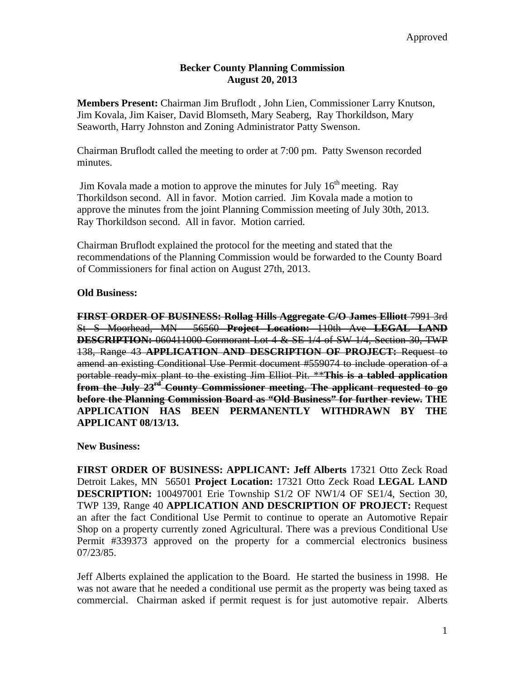## **Becker County Planning Commission August 20, 2013**

**Members Present:** Chairman Jim Bruflodt , John Lien, Commissioner Larry Knutson, Jim Kovala, Jim Kaiser, David Blomseth, Mary Seaberg, Ray Thorkildson, Mary Seaworth, Harry Johnston and Zoning Administrator Patty Swenson.

Chairman Bruflodt called the meeting to order at 7:00 pm. Patty Swenson recorded minutes.

Jim Kovala made a motion to approve the minutes for July  $16<sup>th</sup>$  meeting. Ray Thorkildson second. All in favor. Motion carried. Jim Kovala made a motion to approve the minutes from the joint Planning Commission meeting of July 30th, 2013. Ray Thorkildson second. All in favor. Motion carried.

Chairman Bruflodt explained the protocol for the meeting and stated that the recommendations of the Planning Commission would be forwarded to the County Board of Commissioners for final action on August 27th, 2013.

## **Old Business:**

**FIRST ORDER OF BUSINESS: Rollag Hills Aggregate C/O James Elliott** 7991 3rd St S Moorhead, MN 56560 **Project Location:** 110th Ave **LEGAL LAND DESCRIPTION:** 060411000 Cormorant Lot 4 & SE 1/4 of SW 1/4, Section 30, TWP 138, Range 43 **APPLICATION AND DESCRIPTION OF PROJECT:** Request to amend an existing Conditional Use Permit document #559074 to include operation of a portable ready-mix plant to the existing Jim Elliot Pit. \*\***This is a tabled application from the July 23rd County Commissioner meeting. The applicant requested to go before the Planning Commission Board as "Old Business" for further review. THE APPLICATION HAS BEEN PERMANENTLY WITHDRAWN BY THE APPLICANT 08/13/13.** 

## **New Business:**

**FIRST ORDER OF BUSINESS: APPLICANT: Jeff Alberts** 17321 Otto Zeck Road Detroit Lakes, MN 56501 **Project Location:** 17321 Otto Zeck Road **LEGAL LAND DESCRIPTION:** 100497001 Erie Township S1/2 OF NW1/4 OF SE1/4, Section 30, TWP 139, Range 40 **APPLICATION AND DESCRIPTION OF PROJECT:** Request an after the fact Conditional Use Permit to continue to operate an Automotive Repair Shop on a property currently zoned Agricultural. There was a previous Conditional Use Permit #339373 approved on the property for a commercial electronics business 07/23/85.

Jeff Alberts explained the application to the Board. He started the business in 1998. He was not aware that he needed a conditional use permit as the property was being taxed as commercial. Chairman asked if permit request is for just automotive repair. Alberts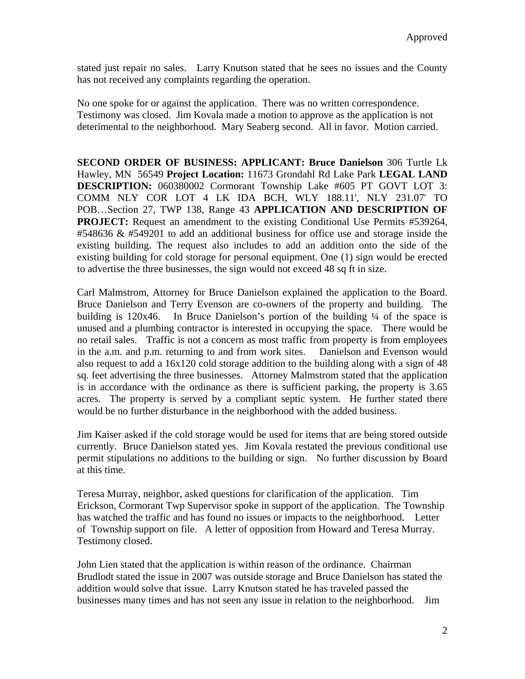stated just repair no sales. Larry Knutson stated that he sees no issues and the County has not received any complaints regarding the operation.

No one spoke for or against the application. There was no written correspondence. Testimony was closed. Jim Kovala made a motion to approve as the application is not deterimental to the neighborhood. Mary Seaberg second. All in favor. Motion carried.

**SECOND ORDER OF BUSINESS: APPLICANT: Bruce Danielson** 306 Turtle Lk Hawley, MN 56549 **Project Location:** 11673 Grondahl Rd Lake Park **LEGAL LAND DESCRIPTION:** 060380002 Cormorant Township Lake #605 PT GOVT LOT 3: COMM NLY COR LOT 4 LK IDA BCH, WLY 188.11', NLY 231.07' TO POB…Section 27, TWP 138, Range 43 **APPLICATION AND DESCRIPTION OF PROJECT:** Request an amendment to the existing Conditional Use Permits #539264, #548636  $\&$  #549201 to add an additional business for office use and storage inside the existing building. The request also includes to add an addition onto the side of the existing building for cold storage for personal equipment. One (1) sign would be erected to advertise the three businesses, the sign would not exceed 48 sq ft in size.

Carl Malmstrom, Attorney for Bruce Danielson explained the application to the Board. Bruce Danielson and Terry Evenson are co-owners of the property and building. The building is 120x46. In Bruce Danielson's portion of the building  $\frac{1}{4}$  of the space is unused and a plumbing contractor is interested in occupying the space. There would be no retail sales. Traffic is not a concern as most traffic from property is from employees in the a.m. and p.m. returning to and from work sites. Danielson and Evenson would also request to add a 16x120 cold storage addition to the building along with a sign of 48 sq. feet advertising the three businesses. Attorney Malmstrom stated that the application is in accordance with the ordinance as there is sufficient parking, the property is 3.65 acres. The property is served by a compliant septic system. He further stated there would be no further disturbance in the neighborhood with the added business.

Jim Kaiser asked if the cold storage would be used for items that are being stored outside currently. Bruce Danielson stated yes. Jim Kovala restated the previous conditional use permit stipulations no additions to the building or sign. No further discussion by Board at this time.

Teresa Murray, neighbor, asked questions for clarification of the application. Tim Erickson, Cormorant Twp Supervisor spoke in support of the application. The Township has watched the traffic and has found no issues or impacts to the neighborhood. Letter of Township support on file. A letter of opposition from Howard and Teresa Murray. Testimony closed.

John Lien stated that the application is within reason of the ordinance. Chairman Brudlodt stated the issue in 2007 was outside storage and Bruce Danielson has stated the addition would solve that issue. Larry Knutson stated he has traveled passed the businesses many times and has not seen any issue in relation to the neighborhood. Jim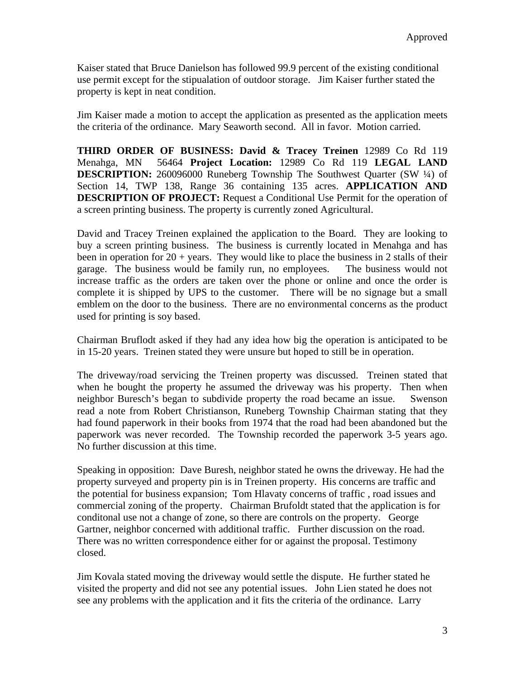Kaiser stated that Bruce Danielson has followed 99.9 percent of the existing conditional use permit except for the stipualation of outdoor storage. Jim Kaiser further stated the property is kept in neat condition.

Jim Kaiser made a motion to accept the application as presented as the application meets the criteria of the ordinance. Mary Seaworth second. All in favor. Motion carried.

**THIRD ORDER OF BUSINESS: David & Tracey Treinen** 12989 Co Rd 119 Menahga, MN 56464 **Project Location:** 12989 Co Rd 119 **LEGAL LAND DESCRIPTION:** 260096000 Runeberg Township The Southwest Quarter (SW  $\frac{1}{4}$ ) of Section 14, TWP 138, Range 36 containing 135 acres. **APPLICATION AND DESCRIPTION OF PROJECT:** Request a Conditional Use Permit for the operation of a screen printing business. The property is currently zoned Agricultural.

David and Tracey Treinen explained the application to the Board. They are looking to buy a screen printing business. The business is currently located in Menahga and has been in operation for  $20 + \text{years}$ . They would like to place the business in 2 stalls of their garage. The business would be family run, no employees. The business would not increase traffic as the orders are taken over the phone or online and once the order is complete it is shipped by UPS to the customer. There will be no signage but a small emblem on the door to the business. There are no environmental concerns as the product used for printing is soy based.

Chairman Bruflodt asked if they had any idea how big the operation is anticipated to be in 15-20 years. Treinen stated they were unsure but hoped to still be in operation.

The driveway/road servicing the Treinen property was discussed. Treinen stated that when he bought the property he assumed the driveway was his property. Then when neighbor Buresch's began to subdivide property the road became an issue. Swenson read a note from Robert Christianson, Runeberg Township Chairman stating that they had found paperwork in their books from 1974 that the road had been abandoned but the paperwork was never recorded. The Township recorded the paperwork 3-5 years ago. No further discussion at this time.

Speaking in opposition: Dave Buresh, neighbor stated he owns the driveway. He had the property surveyed and property pin is in Treinen property. His concerns are traffic and the potential for business expansion; Tom Hlavaty concerns of traffic , road issues and commercial zoning of the property. Chairman Brufoldt stated that the application is for conditonal use not a change of zone, so there are controls on the property. George Gartner, neighbor concerned with additional traffic. Further discussion on the road. There was no written correspondence either for or against the proposal. Testimony closed.

Jim Kovala stated moving the driveway would settle the dispute. He further stated he visited the property and did not see any potential issues. John Lien stated he does not see any problems with the application and it fits the criteria of the ordinance. Larry